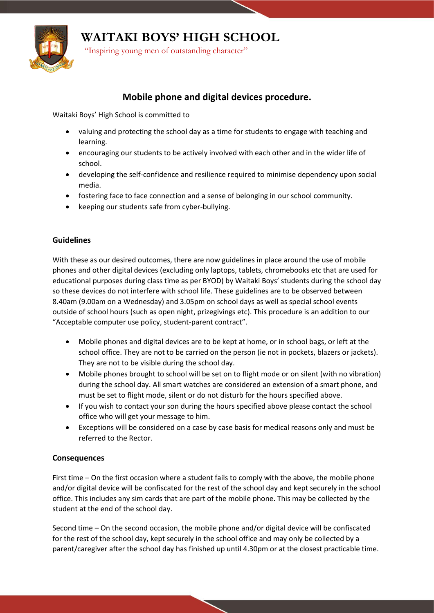

**WAITAKI BOYS' HIGH SCHOOL**

"Inspiring young men of outstanding character"

## **Mobile phone and digital devices procedure.**

Waitaki Boys' High School is committed to

- valuing and protecting the school day as a time for students to engage with teaching and learning.
- encouraging our students to be actively involved with each other and in the wider life of school.
- developing the self-confidence and resilience required to minimise dependency upon social media.
- fostering face to face connection and a sense of belonging in our school community.
- keeping our students safe from cyber-bullying.

## **Guidelines**

With these as our desired outcomes, there are now guidelines in place around the use of mobile phones and other digital devices (excluding only laptops, tablets, chromebooks etc that are used for educational purposes during class time as per BYOD) by Waitaki Boys' students during the school day so these devices do not interfere with school life. These guidelines are to be observed between 8.40am (9.00am on a Wednesday) and 3.05pm on school days as well as special school events outside of school hours (such as open night, prizegivings etc). This procedure is an addition to our "Acceptable computer use policy, student-parent contract".

- Mobile phones and digital devices are to be kept at home, or in school bags, or left at the school office. They are not to be carried on the person (ie not in pockets, blazers or jackets). They are not to be visible during the school day.
- Mobile phones brought to school will be set on to flight mode or on silent (with no vibration) during the school day. All smart watches are considered an extension of a smart phone, and must be set to flight mode, silent or do not disturb for the hours specified above.
- If you wish to contact your son during the hours specified above please contact the school office who will get your message to him.
- Exceptions will be considered on a case by case basis for medical reasons only and must be referred to the Rector.

## **Consequences**

First time – On the first occasion where a student fails to comply with the above, the mobile phone and/or digital device will be confiscated for the rest of the school day and kept securely in the school office. This includes any sim cards that are part of the mobile phone. This may be collected by the student at the end of the school day.

Second time – On the second occasion, the mobile phone and/or digital device will be confiscated for the rest of the school day, kept securely in the school office and may only be collected by a parent/caregiver after the school day has finished up until 4.30pm or at the closest practicable time.